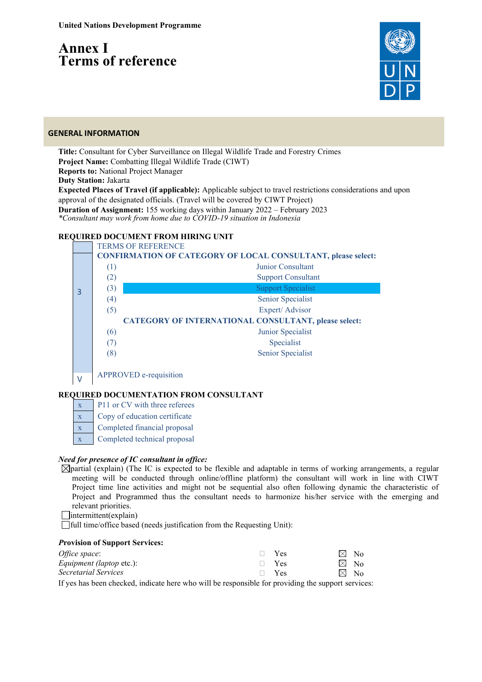# **Annex I Terms of reference**



#### **GENERAL INFORMATION**

**Title:** Consultant for Cyber Surveillance on Illegal Wildlife Trade and Forestry Crimes **Project Name:** Combatting Illegal Wildlife Trade (CIWT) **Reports to:** National Project Manager **Duty Station:** Jakarta **Expected Places of Travel (if applicable):** Applicable subject to travel restrictions considerations and upon approval of the designated officials. (Travel will be covered by CIWT Project) **Duration of Assignment:** 155 working days within January 2022 – February 2023 *\*Consultant may work from home due to COVID-19 situation in Indonesia*

## **REQUIRED DOCUMENT FROM HIRING UNIT**



APPROVED e-requisition

## **REQUIRED DOCUMENTATION FROM CONSULTANT**

 $x \neq P11$  or CV with three referees

- x Copy of education certificate
- x Completed financial proposal
- Completed technical proposal

## *Need for presence of IC consultant in office:*

- $\boxtimes$ partial (explain) (The IC is expected to be flexible and adaptable in terms of working arrangements, a regular meeting will be conducted through online/offline platform) the consultant will work in line with CIWT Project time line activities and might not be sequential also often following dynamic the characteristic of Project and Programmed thus the consultant needs to harmonize his/her service with the emerging and relevant priorities.
- $\Box$ intermittent(explain)

full time/office based (needs justification from the Requesting Unit):

#### *P***rovision of Support Services:**

| Office space:                   | $\Box$ Yes | $\boxtimes$ No |
|---------------------------------|------------|----------------|
| <i>Equipment (laptop etc.):</i> | $\Box$ Yes | $\boxtimes$ No |
| Secretarial Services            | $\Box$ Yes | $\boxtimes$ No |
| $   -$                          |            |                |

If yes has been checked, indicate here who will be responsible for providing the support services: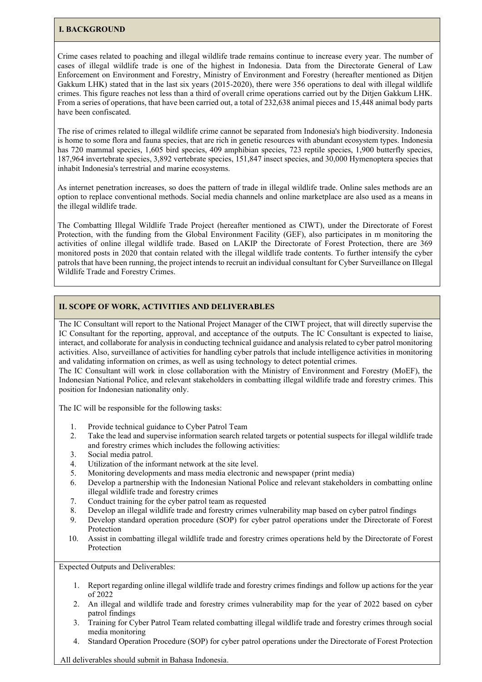#### **I. BACKGROUND**

Crime cases related to poaching and illegal wildlife trade remains continue to increase every year. The number of cases of illegal wildlife trade is one of the highest in Indonesia. Data from the Directorate General of Law Enforcement on Environment and Forestry, Ministry of Environment and Forestry (hereafter mentioned as Ditjen Gakkum LHK) stated that in the last six years (2015-2020), there were 356 operations to deal with illegal wildlife crimes. This figure reaches not less than a third of overall crime operations carried out by the Ditjen Gakkum LHK. From a series of operations, that have been carried out, a total of 232,638 animal pieces and 15,448 animal body parts have been confiscated.

The rise of crimes related to illegal wildlife crime cannot be separated from Indonesia's high biodiversity. Indonesia is home to some flora and fauna species, that are rich in genetic resources with abundant ecosystem types. Indonesia has 720 mammal species, 1,605 bird species, 409 amphibian species, 723 reptile species, 1,900 butterfly species, 187,964 invertebrate species, 3,892 vertebrate species, 151,847 insect species, and 30,000 Hymenoptera species that inhabit Indonesia's terrestrial and marine ecosystems.

As internet penetration increases, so does the pattern of trade in illegal wildlife trade. Online sales methods are an option to replace conventional methods. Social media channels and online marketplace are also used as a means in the illegal wildlife trade.

The Combatting Illegal Wildlife Trade Project (hereafter mentioned as CIWT), under the Directorate of Forest Protection, with the funding from the Global Environment Facility (GEF), also participates in m monitoring the activities of online illegal wildlife trade. Based on LAKIP the Directorate of Forest Protection, there are 369 monitored posts in 2020 that contain related with the illegal wildlife trade contents. To further intensify the cyber patrols that have been running, the project intends to recruit an individual consultant for Cyber Surveillance on Illegal Wildlife Trade and Forestry Crimes.

#### **II. SCOPE OF WORK, ACTIVITIES AND DELIVERABLES**

The IC Consultant will report to the National Project Manager of the CIWT project, that will directly supervise the IC Consultant for the reporting, approval, and acceptance of the outputs. The IC Consultant is expected to liaise, interact, and collaborate for analysis in conducting technical guidance and analysis related to cyber patrol monitoring activities. Also, surveillance of activities for handling cyber patrols that include intelligence activities in monitoring and validating information on crimes, as well as using technology to detect potential crimes.

The IC Consultant will work in close collaboration with the Ministry of Environment and Forestry (MoEF), the Indonesian National Police, and relevant stakeholders in combatting illegal wildlife trade and forestry crimes. This position for Indonesian nationality only.

The IC will be responsible for the following tasks:

- 1. Provide technical guidance to Cyber Patrol Team
- 2. Take the lead and supervise information search related targets or potential suspects for illegal wildlife trade and forestry crimes which includes the following activities:
- 3. Social media patrol.
- 4. Utilization of the informant network at the site level.
- 5. Monitoring developments and mass media electronic and newspaper (print media)
- 6. Develop a partnership with the Indonesian National Police and relevant stakeholders in combatting online illegal wildlife trade and forestry crimes
- 7. Conduct training for the cyber patrol team as requested
- 8. Develop an illegal wildlife trade and forestry crimes vulnerability map based on cyber patrol findings
- 9. Develop standard operation procedure (SOP) for cyber patrol operations under the Directorate of Forest Protection
- 10. Assist in combatting illegal wildlife trade and forestry crimes operations held by the Directorate of Forest Protection

Expected Outputs and Deliverables:

- 1. Report regarding online illegal wildlife trade and forestry crimes findings and follow up actions for the year of 2022
- 2. An illegal and wildlife trade and forestry crimes vulnerability map for the year of 2022 based on cyber patrol findings
- 3. Training for Cyber Patrol Team related combatting illegal wildlife trade and forestry crimes through social media monitoring
- 4. Standard Operation Procedure (SOP) for cyber patrol operations under the Directorate of Forest Protection

All deliverables should submit in Bahasa Indonesia.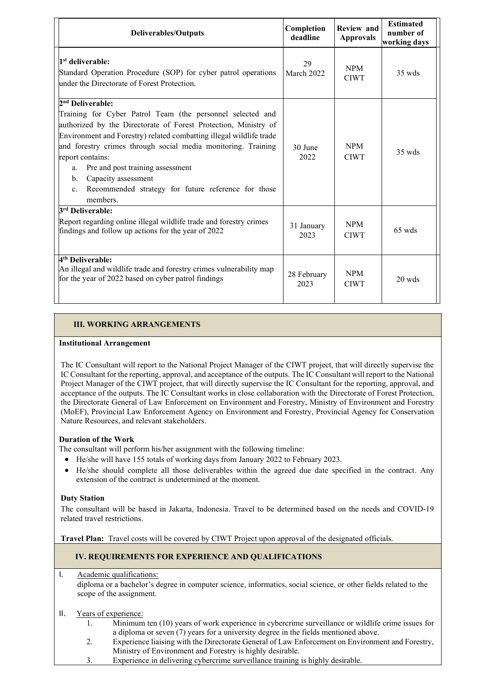| <b>Deliverables/Outputs</b>                                                                                                                                                                                                                                                                                                                                                                                                                                                              | Completion<br>deadline | <b>Review</b> and<br><b>Approvals</b> | <b>Estimated</b><br>number of<br>working days |
|------------------------------------------------------------------------------------------------------------------------------------------------------------------------------------------------------------------------------------------------------------------------------------------------------------------------------------------------------------------------------------------------------------------------------------------------------------------------------------------|------------------------|---------------------------------------|-----------------------------------------------|
| 1 <sup>st</sup> deliverable:<br>Standard Operation Procedure (SOP) for cyber patrol operations<br>under the Directorate of Forest Protection.                                                                                                                                                                                                                                                                                                                                            | 29<br>March 2022       | <b>NPM</b><br><b>CIWT</b>             | $35 \text{ wds}$                              |
| 2 <sup>nd</sup> Deliverable:<br>Training for Cyber Patrol Team (the personnel selected and<br>authorized by the Directorate of Forest Protection, Ministry of<br>Environment and Forestry) related combatting illegal wildlife trade<br>and forestry crimes through social media monitoring. Training<br>report contains:<br>Pre and post training assessment<br>a.<br>Capacity assessment<br>$b$ .<br>Recommended strategy for future reference for those<br>$\mathbf{c}$ .<br>members. | 30 June<br>2022        | <b>NPM</b><br><b>CIWT</b>             | $35 \text{ wds}$                              |
| 3 <sup>rd</sup> Deliverable:<br>Report regarding online illegal wildlife trade and forestry crimes<br>findings and follow up actions for the year of 2022                                                                                                                                                                                                                                                                                                                                | 31 January<br>2023     | <b>NPM</b><br><b>CIWT</b>             | $65$ wds                                      |
| 4 <sup>th</sup> Deliverable:<br>An illegal and wildlife trade and forestry crimes vulnerability map<br>for the year of 2022 based on cyber patrol findings                                                                                                                                                                                                                                                                                                                               | 28 February<br>2023    | <b>NPM</b><br><b>CIWT</b>             | $20 \text{ wds}$                              |

# **III. WORKING ARRANGEMENTS**

#### **Institutional Arrangement**

The IC Consultant will report to the National Project Manager of the CIWT project, that will directly supervise the IC Consultant for the reporting, approval, and acceptance of the outputs. The IC Consultant will report to the National Project Manager of the CIWT project, that will directly supervise the IC Consultant for the reporting, approval, and acceptance of the outputs. The IC Consultant works in close collaboration with the Directorate of Forest Protection, the Directorate General of Law Enforcement on Environment and Forestry, Ministry of Environment and Forestry (MoEF), Provincial Law Enforcement Agency on Environment and Forestry, Provincial Agency for Conservation Nature Resources, and relevant stakeholders.

## **Duration of the Work**

The consultant will perform his/her assignment with the following timeline:

- He/she will have 155 totals of working days from January 2022 to February 2023.
- He/she should complete all those deliverables within the agreed due date specified in the contract. Any extension of the contract is undetermined at the moment.

## **Duty Station**

The consultant will be based in Jakarta, Indonesia. Travel to be determined based on the needs and COVID‐19 related travel restrictions.

**Travel Plan:** Travel costs will be covered by CIWT Project upon approval of the designated officials.

## **IV. REQUIREMENTS FOR EXPERIENCE AND QUALIFICATIONS**

I. Academic qualifications:

diploma or a bachelor's degree in computer science, informatics, social science, or other fields related to the scope of the assignment.

## II. Years of experience:

- 1. Minimum ten (10) years of work experience in cybercrime surveillance or wildlife crime issues for a diploma or seven (7) years for a university degree in the fields mentioned above.
- 2. Experience liaising with the Directorate General of Law Enforcement on Environment and Forestry, Ministry of Environment and Forestry is highly desirable.
- 3. Experience in delivering cybercrime surveillance training is highly desirable.